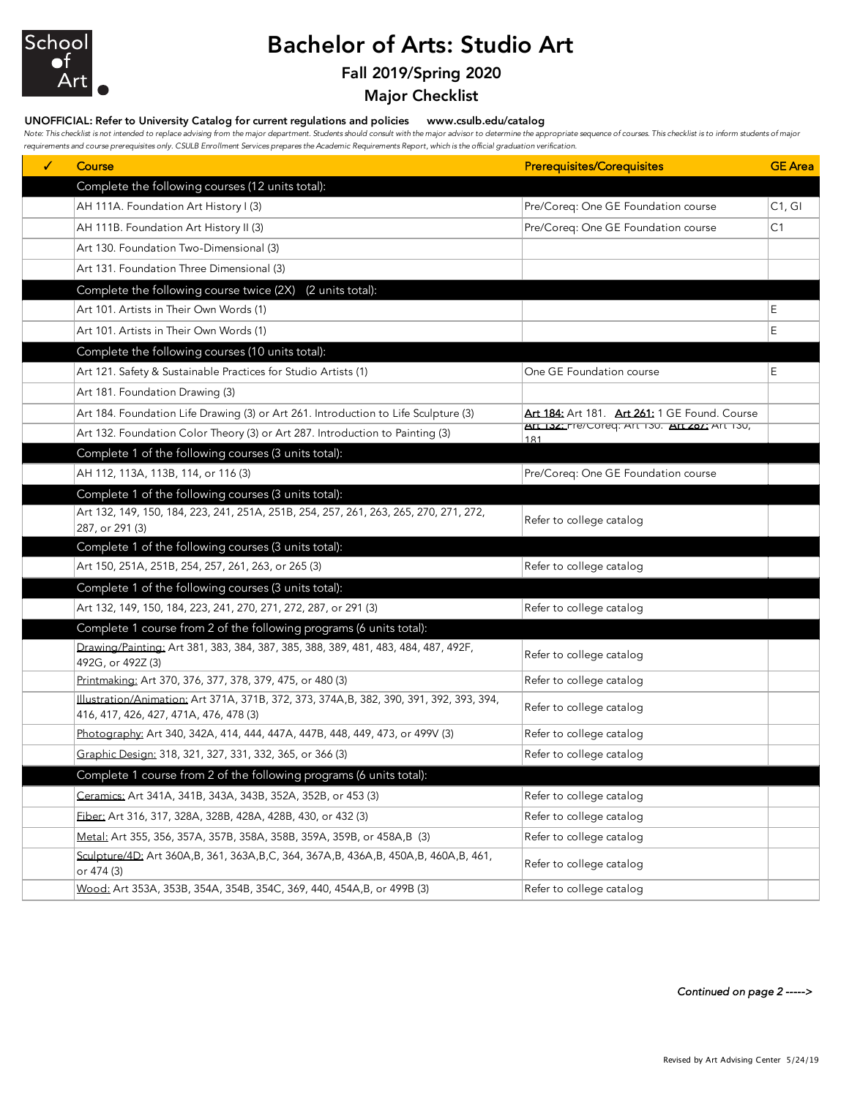

## Bachelor of Arts: Studio Art

### Fall 2019/Spring 2020

Major Checklist

#### UNOFFICIAL: Refer to University Catalog for current regulations and policies www.csulb.edu/catalog

Note: This checklist is not intended to replace advising from the major department. Students should consult with the major advisor to determine the appropriate sequence of courses. This checklist is to inform students of m *requirements and course prerequisites only. CSULB Enrollment Services prepares the Academic Requirements Report, which is the official graduation verification.*

| ✓ | Course                                                                                                                             | <b>Prerequisites/Corequisites</b>                     | <b>GE</b> Area |
|---|------------------------------------------------------------------------------------------------------------------------------------|-------------------------------------------------------|----------------|
|   | Complete the following courses (12 units total):                                                                                   |                                                       |                |
|   | AH 111A. Foundation Art History I (3)                                                                                              | Pre/Coreq: One GE Foundation course                   | C1, G1         |
|   | AH 111B. Foundation Art History II (3)                                                                                             | Pre/Coreq: One GE Foundation course                   | C <sub>1</sub> |
|   | Art 130. Foundation Two-Dimensional (3)                                                                                            |                                                       |                |
|   | Art 131. Foundation Three Dimensional (3)                                                                                          |                                                       |                |
|   | Complete the following course twice (2X)<br>(2 units total):                                                                       |                                                       |                |
|   | Art 101. Artists in Their Own Words (1)                                                                                            |                                                       | E              |
|   | Art 101. Artists in Their Own Words (1)                                                                                            |                                                       | Ε              |
|   | Complete the following courses (10 units total):                                                                                   |                                                       |                |
|   | Art 121. Safety & Sustainable Practices for Studio Artists (1)                                                                     | One GE Foundation course                              | E              |
|   | Art 181. Foundation Drawing (3)                                                                                                    |                                                       |                |
|   | Art 184. Foundation Life Drawing (3) or Art 261. Introduction to Life Sculpture (3)                                                | Art 184: Art 181. Art 261: 1 GE Found. Course         |                |
|   | Art 132. Foundation Color Theory (3) or Art 287. Introduction to Painting (3)                                                      | AIT 132: Pre/Coreq: AIT 130. AIT 287: AIT 130,<br>181 |                |
|   | Complete 1 of the following courses (3 units total):                                                                               |                                                       |                |
|   | AH 112, 113A, 113B, 114, or 116 (3)                                                                                                | Pre/Coreq: One GE Foundation course                   |                |
|   | Complete 1 of the following courses (3 units total):                                                                               |                                                       |                |
|   | Art 132, 149, 150, 184, 223, 241, 251A, 251B, 254, 257, 261, 263, 265, 270, 271, 272,<br>287, or 291 (3)                           | Refer to college catalog                              |                |
|   | Complete 1 of the following courses (3 units total):                                                                               |                                                       |                |
|   | Art 150, 251A, 251B, 254, 257, 261, 263, or 265 (3)                                                                                | Refer to college catalog                              |                |
|   | Complete 1 of the following courses (3 units total):                                                                               |                                                       |                |
|   | Art 132, 149, 150, 184, 223, 241, 270, 271, 272, 287, or 291 (3)                                                                   | Refer to college catalog                              |                |
|   | Complete 1 course from 2 of the following programs (6 units total):                                                                |                                                       |                |
|   | Drawing/Painting: Art 381, 383, 384, 387, 385, 388, 389, 481, 483, 484, 487, 492F,<br>492G, or 492Z (3)                            | Refer to college catalog                              |                |
|   | Printmaking: Art 370, 376, 377, 378, 379, 475, or 480 (3)                                                                          | Refer to college catalog                              |                |
|   | Illustration/Animation: Art 371A, 371B, 372, 373, 374A, B, 382, 390, 391, 392, 393, 394,<br>416, 417, 426, 427, 471A, 476, 478 (3) | Refer to college catalog                              |                |
|   | Photography: Art 340, 342A, 414, 444, 447A, 447B, 448, 449, 473, or 499V (3)                                                       | Refer to college catalog                              |                |
|   | Graphic Design: 318, 321, 327, 331, 332, 365, or 366 (3)                                                                           | Refer to college catalog                              |                |
|   | Complete 1 course from 2 of the following programs (6 units total):                                                                |                                                       |                |
|   | <u>Ceramics:</u> Art 341A, 341B, 343A, 343B, 352A, 352B, or 453 (3)                                                                | Refer to college catalog                              |                |
|   | Fiber: Art 316, 317, 328A, 328B, 428A, 428B, 430, or 432 (3)                                                                       | Refer to college catalog                              |                |
|   | Metal: Art 355, 356, 357A, 357B, 358A, 358B, 359A, 359B, or 458A, B (3)                                                            | Refer to college catalog                              |                |
|   | Sculpture/4D: Art 360A,B, 361, 363A,B,C, 364, 367A,B, 436A,B, 450A,B, 460A,B, 461,<br>or 474 (3)                                   | Refer to college catalog                              |                |
|   | Wood: Art 353A, 353B, 354A, 354B, 354C, 369, 440, 454A, B, or 499B (3)                                                             | Refer to college catalog                              |                |

*Continued on page 2 ----->*